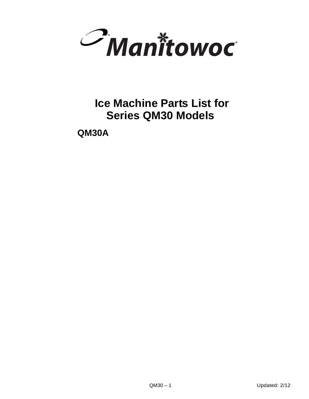

# **Ice Machine Parts List for Series QM30 Models**

**QM30A**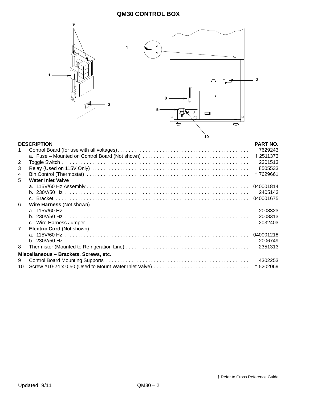

<span id="page-1-7"></span><span id="page-1-6"></span><span id="page-1-5"></span><span id="page-1-4"></span><span id="page-1-3"></span><span id="page-1-2"></span><span id="page-1-1"></span><span id="page-1-0"></span>

| <b>DESCRIPTION</b>                     |                           | <b>PART NO.</b> |  |
|----------------------------------------|---------------------------|-----------------|--|
|                                        |                           | 7629243         |  |
|                                        |                           | +2511373        |  |
| 2                                      |                           | 2301513         |  |
| 3                                      |                           | 8505533         |  |
| 4                                      |                           | +7629661        |  |
| 5                                      | <b>Water Inlet Valve</b>  |                 |  |
|                                        |                           |                 |  |
|                                        |                           | 2405143         |  |
|                                        |                           | 040001675       |  |
| 6                                      | Wire Harness (Not shown)  |                 |  |
|                                        |                           | 2008323         |  |
|                                        |                           | 2008313         |  |
|                                        |                           | 2032403         |  |
| $\overline{7}$                         | Electric Cord (Not shown) |                 |  |
|                                        |                           |                 |  |
|                                        |                           | 2006749         |  |
| 8                                      |                           | 2351313         |  |
| Miscellaneous - Brackets, Screws, etc. |                           |                 |  |
| 9                                      |                           | 4302253         |  |
| 10                                     |                           | +5202069        |  |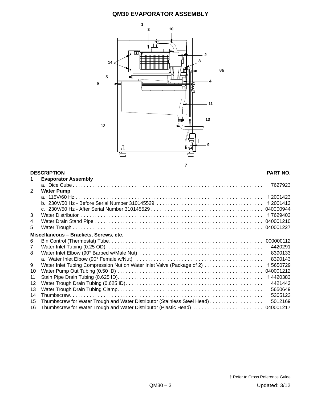### **QM30 EVAPORATOR ASSEMBLY**



#### <span id="page-2-13"></span><span id="page-2-12"></span><span id="page-2-11"></span><span id="page-2-10"></span><span id="page-2-9"></span><span id="page-2-8"></span><span id="page-2-7"></span><span id="page-2-6"></span><span id="page-2-5"></span><span id="page-2-4"></span><span id="page-2-3"></span><span id="page-2-2"></span><span id="page-2-1"></span><span id="page-2-0"></span>**DESCRIPTION PART NO.** 1 **Evaporator Assembly** a. Dice Cube . . . . . . . . . . . . . . . . . . . . . . . . . . . . . . . . . . . . . . . . . . . . . . . . . . . . . . . . . . . . . . . . . . . . 7627923 2 **Water Pump** a. 115V/60 Hz . . . . . . . . . . . . . . . . . . . . . . . . . . . . . . . . . . . . . . . . . . . . . . . . . . . . . . . . . . . . . . . . . . . † 2001423 b. 230V/50 Hz - Before Serial Number 310145529 . . . . . . . . . . . . . . . . . . . . . . . . . . . . . . . . . . . . . . † 2001413 c. 230V/50 Hz - After Serial Number 310145529 . . . . . . . . . . . . . . . . . . . . . . . . . . . . . . . . . . . . . . . . 040000944 3 Water Distributor . . . . . . . . . . . . . . . . . . . . . . . . . . . . . . . . . . . . . . . . . . . . . . . . . . . . . . . . . . . . . . . . . † 7629403 4 Water Drain Stand Pipe . . . . . . . . . . . . . . . . . . . . . . . . . . . . . . . . . . . . . . . . . . . . . . . . . . . . . . . . . . . . 040001210 5 Water Trough . . . . . . . . . . . . . . . . . . . . . . . . . . . . . . . . . . . . . . . . . . . . . . . . . . . . . . . . . . . . . . . . . . . . 040001227 **Miscellaneous – Brackets, Screws, etc.** 6 Bin Control (Thermostat) Tube. . . . . . . . . . . . . . . . . . . . . . . . . . . . . . . . . . . . . . . . . . . . . . . . . . . . . . . 000000112 7 Water Inlet Tubing (0.25 OD) . . . . . . . . . . . . . . . . . . . . . . . . . . . . . . . . . . . . . . . . . . . . . . . . . . . . . . . . 4420291 8 Water Inlet Elbow (90° Barbed w/Male Nut). . . . . . . . . . . . . . . . . . . . . . . . . . . . . . . . . . . . . . . . . . . . . 8390133 a. Water Inlet Elbow (90° Female w/Nut) . . . . . . . . . . . . . . . . . . . . . . . . . . . . . . . . . . . . . . . . . . . . . . 8390143 9 Water Inlet Tubing Compression Nut on Water Inlet Valve (Package of 2) . . . . . . . . . . . . . . . . . . . . . † 5650729 10 Water Pump Out Tubing (0.50 ID) . . . . . . . . . . . . . . . . . . . . . . . . . . . . . . . . . . . . . . . . . . . . . . . . . . . . 040001212 11 Stain Pipe Drain Tubing (0.625 ID). . . . . . . . . . . . . . . . . . . . . . . . . . . . . . . . . . . . . . . . . . . . . . . . . . . . † 4420383 12 Water Trough Drain Tubing (0.625 ID). . . . . . . . . . . . . . . . . . . . . . . . . . . . . . . . . . . . . . . . . . . . . . . . . 4421443 13 Water Trough Drain Tubing Clamp. . . . . . . . . . . . . . . . . . . . . . . . . . . . . . . . . . . . . . . . . . . . . . . . . . . . 5650649 14 Thumbscrew. . . . . . . . . . . . . . . . . . . . . . . . . . . . . . . . . . . . . . . . . . . . . . . . . . . . . . . . . . . . . . . . . . . . . 5305123 15 Thumbscrew for Water Trough and Water Distributor (Stainless Steel Head) . . . . . . . . . . . . . . . . . . . 5012169 16 Thumbscrew for Water Trough and Water Distributor (Plastic Head) . . . . . . . . . . . . . . . . . . . . . . . . . 040001217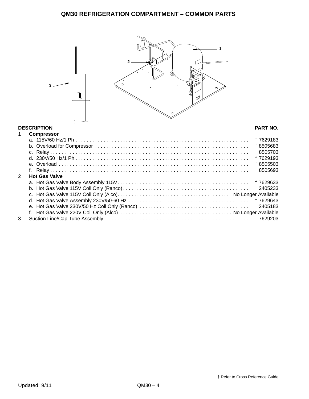<span id="page-3-3"></span><span id="page-3-2"></span><span id="page-3-1"></span><span id="page-3-0"></span>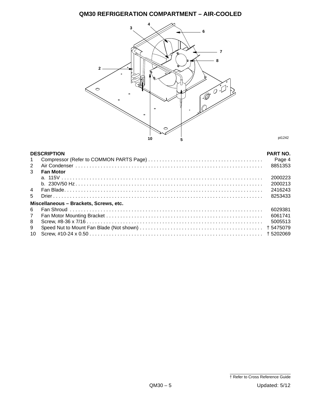# **QM30 REFRIGERATION COMPARTMENT – AIR-COOLED**



<span id="page-4-7"></span><span id="page-4-6"></span><span id="page-4-5"></span><span id="page-4-4"></span><span id="page-4-3"></span><span id="page-4-2"></span><span id="page-4-1"></span><span id="page-4-0"></span>

| <b>DESCRIPTION</b>                     |                  |         |  |
|----------------------------------------|------------------|---------|--|
| $\mathbf{1}$                           |                  | Page 4  |  |
| 2                                      |                  | 8851353 |  |
| 3                                      | <b>Fan Motor</b> |         |  |
|                                        |                  | 2000223 |  |
|                                        |                  | 2000213 |  |
| $\overline{4}$                         |                  | 2416243 |  |
| $5^{\circ}$                            |                  | 8253433 |  |
| Miscellaneous - Brackets, Screws, etc. |                  |         |  |
| 6                                      |                  | 6029381 |  |
| $\overline{7}$                         |                  | 6061741 |  |
| 8                                      |                  | 5005513 |  |
| 9                                      |                  |         |  |
| 10                                     |                  |         |  |